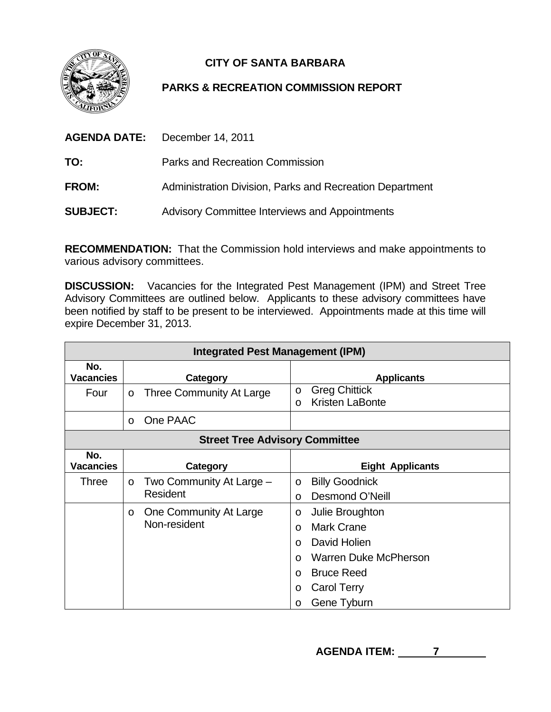

## **CITY OF SANTA BARBARA**

## **PARKS & RECREATION COMMISSION REPORT**

|                 | <b>AGENDA DATE:</b> December 14, 2011                    |  |
|-----------------|----------------------------------------------------------|--|
| TO:             | Parks and Recreation Commission                          |  |
| <b>FROM:</b>    | Administration Division, Parks and Recreation Department |  |
| <b>SUBJECT:</b> | <b>Advisory Committee Interviews and Appointments</b>    |  |

**RECOMMENDATION:** That the Commission hold interviews and make appointments to various advisory committees.

**DISCUSSION:** Vacancies for the Integrated Pest Management (IPM) and Street Tree Advisory Committees are outlined below. Applicants to these advisory committees have been notified by staff to be present to be interviewed. Appointments made at this time will expire December 31, 2013.

| <b>Integrated Pest Management (IPM)</b> |                                                 |                                                                                                                                                                                                       |  |
|-----------------------------------------|-------------------------------------------------|-------------------------------------------------------------------------------------------------------------------------------------------------------------------------------------------------------|--|
| No.<br><b>Vacancies</b>                 | Category                                        | <b>Applicants</b>                                                                                                                                                                                     |  |
| Four                                    | Three Community At Large<br>$\circ$             | <b>Greg Chittick</b><br>O<br><b>Kristen LaBonte</b><br>$\circ$                                                                                                                                        |  |
|                                         | One PAAC<br>$\circ$                             |                                                                                                                                                                                                       |  |
| <b>Street Tree Advisory Committee</b>   |                                                 |                                                                                                                                                                                                       |  |
| No.<br><b>Vacancies</b>                 | Category                                        | <b>Eight Applicants</b>                                                                                                                                                                               |  |
| <b>Three</b>                            | Two Community At Large -<br>$\circ$<br>Resident | <b>Billy Goodnick</b><br>$\circ$<br>Desmond O'Neill<br>$\Omega$                                                                                                                                       |  |
|                                         | One Community At Large<br>O<br>Non-resident     | Julie Broughton<br>O<br><b>Mark Crane</b><br>$\Omega$<br>David Holien<br>$\Omega$<br><b>Warren Duke McPherson</b><br>$\Omega$<br><b>Bruce Reed</b><br>$\circ$<br>Carol Terry<br>O<br>Gene Tyburn<br>O |  |